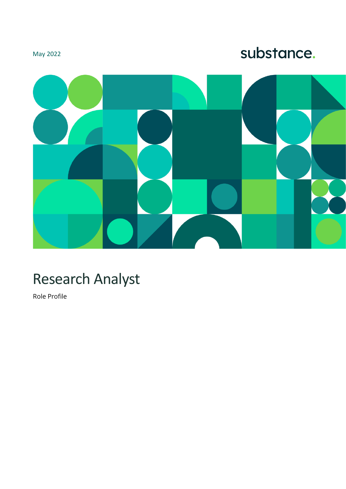#### May 2022

# substance.



# Research Analyst

Role Profile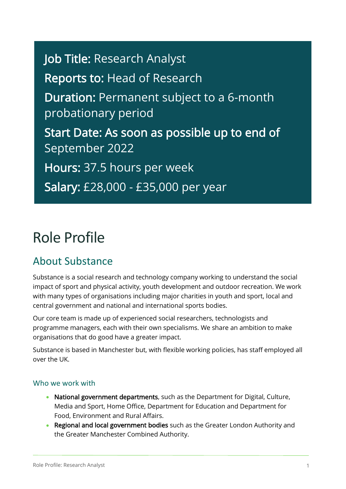Job Title: Research Analyst Reports to: Head of Research Duration: Permanent subject to a 6-month probationary period Start Date: As soon as possible up to end of September 2022 Hours: 37.5 hours per week Salary: £28,000 - £35,000 per year

## Role Profile

### About Substance

Substance is a social research and technology company working to understand the social impact of sport and physical activity, youth development and outdoor recreation. We work with many types of organisations including major charities in youth and sport, local and central government and national and international sports bodies.

Our core team is made up of experienced social researchers, technologists and programme managers, each with their own specialisms. We share an ambition to make organisations that do good have a greater impact.

Substance is based in Manchester but, with flexible working policies, has staff employed all over the UK.

#### Who we work with

- National government departments, such as the Department for Digital, Culture, Media and Sport, Home Office, Department for Education and Department for Food, Environment and Rural Affairs.
- Regional and local government bodies such as the Greater London Authority and the Greater Manchester Combined Authority.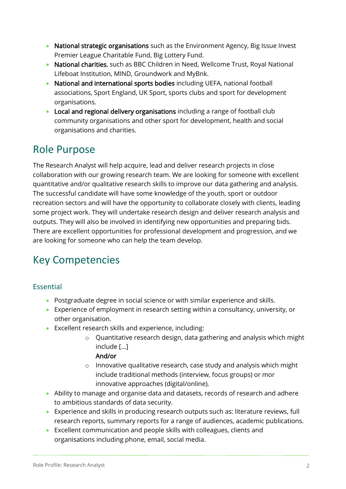- National strategic organisations such as the Environment Agency, Big Issue Invest Premier League Charitable Fund, Big Lottery Fund.
- National charities, such as BBC Children in Need, Wellcome Trust, Royal National Lifeboat Institution, MIND, Groundwork and MyBnk.
- National and international sports bodies including UEFA, national football associations, Sport England, UK Sport, sports clubs and sport for development organisations.
- Local and regional delivery organisations including a range of football club community organisations and other sport for development, health and social organisations and charities.

## Role Purpose

The Research Analyst will help acquire, lead and deliver research projects in close collaboration with our growing research team. We are looking for someone with excellent quantitative and/or qualitative research skills to improve our data gathering and analysis. The successful candidate will have some knowledge of the youth, sport or outdoor recreation sectors and will have the opportunity to collaborate closely with clients, leading some project work. They will undertake research design and deliver research analysis and outputs. They will also be involved in identifying new opportunities and preparing bids. There are excellent opportunities for professional development and progression, and we are looking for someone who can help the team develop.

## Key Competencies

#### Essential

- Postgraduate degree in social science or with similar experience and skills.
- Experience of employment in research setting within a consultancy, university, or other organisation.
- Excellent research skills and experience, including:
	- o Quantitative research design, data gathering and analysis which might include […]

#### And/or

- o Innovative qualitative research, case study and analysis which might include traditional methods (interview, focus groups) or mor innovative approaches (digital/online).
- Ability to manage and organise data and datasets, records of research and adhere to ambitious standards of data security.
- Experience and skills in producing research outputs such as: literature reviews, full research reports, summary reports for a range of audiences, academic publications.
- Excellent communication and people skills with colleagues, clients and organisations including phone, email, social media.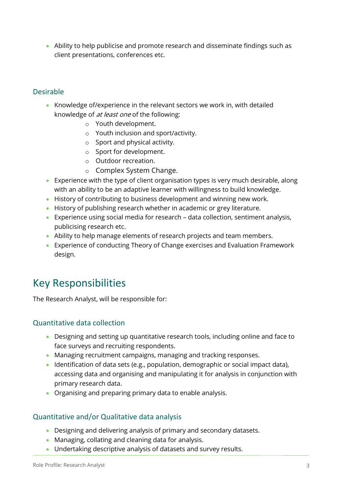• Ability to help publicise and promote research and disseminate findings such as client presentations, conferences etc.

#### Desirable

- Knowledge of/experience in the relevant sectors we work in, with detailed knowledge of at least one of the following:
	- o Youth development.
	- o Youth inclusion and sport/activity.
	- o Sport and physical activity.
	- o Sport for development.
	- o Outdoor recreation.
	- o Complex System Change.
- Experience with the type of client organisation types is very much desirable, along with an ability to be an adaptive learner with willingness to build knowledge.
- History of contributing to business development and winning new work.
- History of publishing research whether in academic or grey literature.
- Experience using social media for research data collection, sentiment analysis, publicising research etc.
- Ability to help manage elements of research projects and team members.
- Experience of conducting Theory of Change exercises and Evaluation Framework design.

### Key Responsibilities

The Research Analyst, will be responsible for:

#### Quantitative data collection

- Designing and setting up quantitative research tools, including online and face to face surveys and recruiting respondents.
- Managing recruitment campaigns, managing and tracking responses.
- Identification of data sets (e.g., population, demographic or social impact data), accessing data and organising and manipulating it for analysis in conjunction with primary research data.
- Organising and preparing primary data to enable analysis.

#### Quantitative and/or Qualitative data analysis

- Designing and delivering analysis of primary and secondary datasets.
- Managing, collating and cleaning data for analysis.
- Undertaking descriptive analysis of datasets and survey results.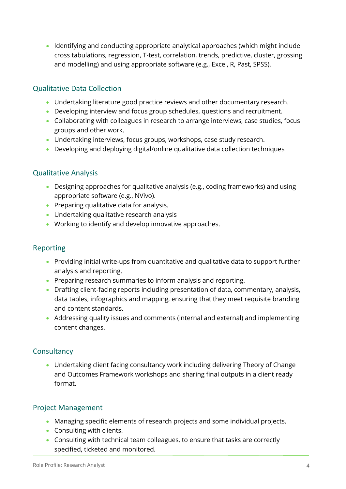• Identifying and conducting appropriate analytical approaches (which might include cross tabulations, regression, T-test, correlation, trends, predictive, cluster, grossing and modelling) and using appropriate software (e.g., Excel, R, Past, SPSS).

#### Qualitative Data Collection

- Undertaking literature good practice reviews and other documentary research.
- Developing interview and focus group schedules, questions and recruitment.
- Collaborating with colleagues in research to arrange interviews, case studies, focus groups and other work.
- Undertaking interviews, focus groups, workshops, case study research.
- Developing and deploying digital/online qualitative data collection techniques

#### Qualitative Analysis

- Designing approaches for qualitative analysis (e.g., coding frameworks) and using appropriate software (e.g., NVivo).
- Preparing qualitative data for analysis.
- Undertaking qualitative research analysis
- Working to identify and develop innovative approaches.

#### Reporting

- Providing initial write-ups from quantitative and qualitative data to support further analysis and reporting.
- Preparing research summaries to inform analysis and reporting.
- Drafting client-facing reports including presentation of data, commentary, analysis, data tables, infographics and mapping, ensuring that they meet requisite branding and content standards.
- Addressing quality issues and comments (internal and external) and implementing content changes.

#### **Consultancy**

• Undertaking client facing consultancy work including delivering Theory of Change and Outcomes Framework workshops and sharing final outputs in a client ready format.

#### Project Management

- Managing specific elements of research projects and some individual projects.
- Consulting with clients.
- Consulting with technical team colleagues, to ensure that tasks are correctly specified, ticketed and monitored.